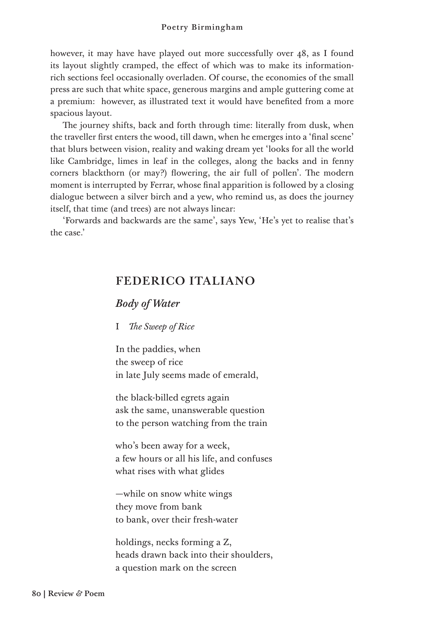however, it may have have played out more successfully over 48, as I found its layout slightly cramped, the effect of which was to make its informationrich sections feel occasionally overladen. Of course, the economies of the small press are such that white space, generous margins and ample guttering come at a premium: however, as illustrated text it would have benefited from a more spacious layout.

The journey shifts, back and forth through time: literally from dusk, when the traveller first enters the wood, till dawn, when he emerges into a 'final scene' that blurs between vision, reality and waking dream yet 'looks for all the world like Cambridge, limes in leaf in the colleges, along the backs and in fenny corners blackthorn (or may?) flowering, the air full of pollen'. The modern moment is interrupted by Ferrar, whose final apparition is followed by a closing dialogue between a silver birch and a yew, who remind us, as does the journey itself, that time (and trees) are not always linear:

'Forwards and backwards are the same', says Yew, 'He's yet to realise that's the case.'

## FEDERICO ITALIANO

## *Body of Water*

## I *The Sweep of Rice*

In the paddies, when the sweep of rice in late July seems made of emerald,

the black-billed egrets again ask the same, unanswerable question to the person watching from the train

who's been away for a week, a few hours or all his life, and confuses what rises with what glides

—while on snow white wings they move from bank to bank, over their fresh-water

holdings, necks forming a Z, heads drawn back into their shoulders, a question mark on the screen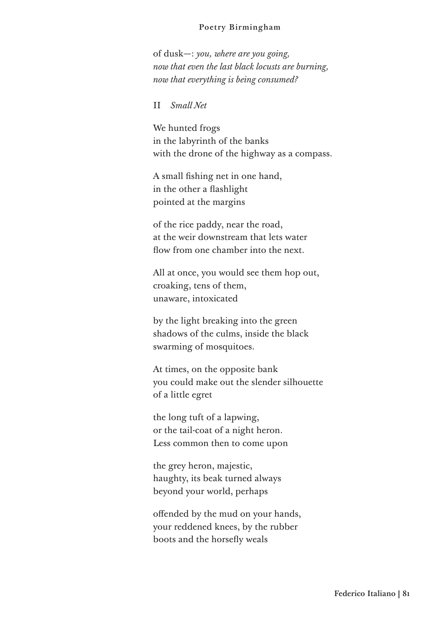#### Poetry Birmingham

of dusk—: *you, where are you going, now that even the last black locusts are burning, now that everything is being consumed?*

## II *Small Net*

We hunted frogs in the labyrinth of the banks with the drone of the highway as a compass.

A small fishing net in one hand, in the other a flashlight pointed at the margins

of the rice paddy, near the road, at the weir downstream that lets water flow from one chamber into the next.

All at once, you would see them hop out, croaking, tens of them, unaware, intoxicated

by the light breaking into the green shadows of the culms, inside the black swarming of mosquitoes.

At times, on the opposite bank you could make out the slender silhouette of a little egret

the long tuft of a lapwing, or the tail-coat of a night heron. Less common then to come upon

the grey heron, majestic, haughty, its beak turned always beyond your world, perhaps

offended by the mud on your hands, your reddened knees, by the rubber boots and the horsefly weals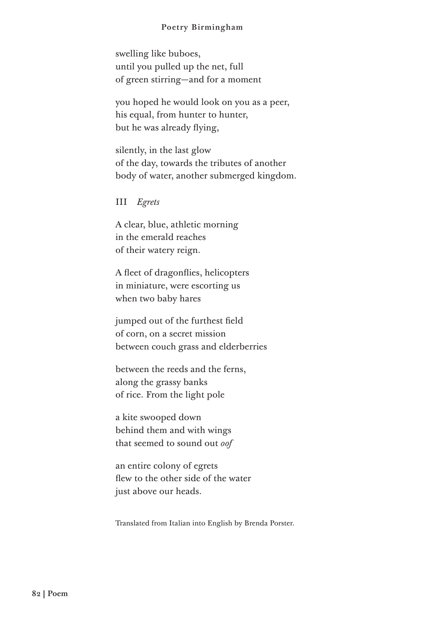#### Poetry Birmingham

swelling like buboes, until you pulled up the net, full of green stirring—and for a moment

you hoped he would look on you as a peer, his equal, from hunter to hunter, but he was already flying,

silently, in the last glow of the day, towards the tributes of another body of water, another submerged kingdom.

III *Egrets*

A clear, blue, athletic morning in the emerald reaches of their watery reign.

A fleet of dragonflies, helicopters in miniature, were escorting us when two baby hares

jumped out of the furthest field of corn, on a secret mission between couch grass and elderberries

between the reeds and the ferns, along the grassy banks of rice. From the light pole

a kite swooped down behind them and with wings that seemed to sound out *oof*

an entire colony of egrets flew to the other side of the water just above our heads.

Translated from Italian into English by Brenda Porster.